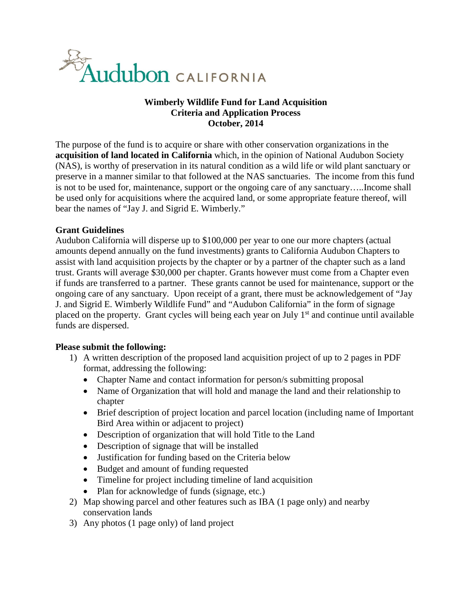

## **Wimberly Wildlife Fund for Land Acquisition Criteria and Application Process October, 2014**

The purpose of the fund is to acquire or share with other conservation organizations in the **acquisition of land located in California** which, in the opinion of National Audubon Society (NAS), is worthy of preservation in its natural condition as a wild life or wild plant sanctuary or preserve in a manner similar to that followed at the NAS sanctuaries. The income from this fund is not to be used for, maintenance, support or the ongoing care of any sanctuary…..Income shall be used only for acquisitions where the acquired land, or some appropriate feature thereof, will bear the names of "Jay J. and Sigrid E. Wimberly."

#### **Grant Guidelines**

Audubon California will disperse up to \$100,000 per year to one our more chapters (actual amounts depend annually on the fund investments) grants to California Audubon Chapters to assist with land acquisition projects by the chapter or by a partner of the chapter such as a land trust. Grants will average \$30,000 per chapter. Grants however must come from a Chapter even if funds are transferred to a partner. These grants cannot be used for maintenance, support or the ongoing care of any sanctuary. Upon receipt of a grant, there must be acknowledgement of "Jay J. and Sigrid E. Wimberly Wildlife Fund" and "Audubon California" in the form of signage placed on the property. Grant cycles will being each year on July  $1<sup>st</sup>$  and continue until available funds are dispersed.

#### **Please submit the following:**

- 1) A written description of the proposed land acquisition project of up to 2 pages in PDF format, addressing the following:
	- Chapter Name and contact information for person/s submitting proposal
	- Name of Organization that will hold and manage the land and their relationship to chapter
	- Brief description of project location and parcel location (including name of Important Bird Area within or adjacent to project)
	- Description of organization that will hold Title to the Land
	- Description of signage that will be installed
	- Justification for funding based on the Criteria below
	- Budget and amount of funding requested
	- Timeline for project including timeline of land acquisition
	- Plan for acknowledge of funds (signage, etc.)
- 2) Map showing parcel and other features such as IBA (1 page only) and nearby conservation lands
- 3) Any photos (1 page only) of land project